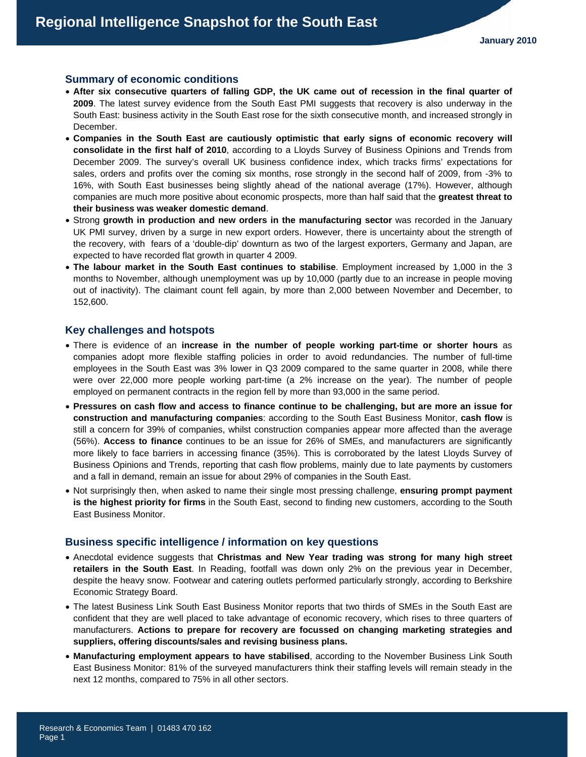#### **Summary of economic conditions**

- **After six consecutive quarters of falling GDP, the UK came out of recession in the final quarter of 2009**. The latest survey evidence from the South East PMI suggests that recovery is also underway in the South East: business activity in the South East rose for the sixth consecutive month, and increased strongly in December.
- **Companies in the South East are cautiously optimistic that early signs of economic recovery will consolidate in the first half of 2010**, according to a Lloyds Survey of Business Opinions and Trends from December 2009. The survey's overall UK business confidence index, which tracks firms' expectations for sales, orders and profits over the coming six months, rose strongly in the second half of 2009, from -3% to 16%, with South East businesses being slightly ahead of the national average (17%). However, although companies are much more positive about economic prospects, more than half said that the **greatest threat to their business was weaker domestic demand**.
- Strong **growth in production and new orders in the manufacturing sector** was recorded in the January UK PMI survey, driven by a surge in new export orders. However, there is uncertainty about the strength of the recovery, with fears of a 'double-dip' downturn as two of the largest exporters, Germany and Japan, are expected to have recorded flat growth in quarter 4 2009.
- **The labour market in the South East continues to stabilise**. Employment increased by 1,000 in the 3 months to November, although unemployment was up by 10,000 (partly due to an increase in people moving out of inactivity). The claimant count fell again, by more than 2,000 between November and December, to 152,600.

#### **Key challenges and hotspots**

- There is evidence of an **increase in the number of people working part-time or shorter hours** as companies adopt more flexible staffing policies in order to avoid redundancies. The number of full-time employees in the South East was 3% lower in Q3 2009 compared to the same quarter in 2008, while there were over 22,000 more people working part-time (a 2% increase on the year). The number of people employed on permanent contracts in the region fell by more than 93,000 in the same period.
- **Pressures on cash flow and access to finance continue to be challenging, but are more an issue for construction and manufacturing companies**: according to the South East Business Monitor, **cash flow** is still a concern for 39% of companies, whilst construction companies appear more affected than the average (56%). **Access to finance** continues to be an issue for 26% of SMEs, and manufacturers are significantly more likely to face barriers in accessing finance (35%). This is corroborated by the latest Lloyds Survey of Business Opinions and Trends, reporting that cash flow problems, mainly due to late payments by customers and a fall in demand, remain an issue for about 29% of companies in the South East.
- Not surprisingly then, when asked to name their single most pressing challenge, **ensuring prompt payment is the highest priority for firms** in the South East, second to finding new customers, according to the South East Business Monitor.

#### **Business specific intelligence / information on key questions**

- Anecdotal evidence suggests that **Christmas and New Year trading was strong for many high street retailers in the South East**. In Reading, footfall was down only 2% on the previous year in December, despite the heavy snow. Footwear and catering outlets performed particularly strongly, according to Berkshire Economic Strategy Board.
- The latest Business Link South East Business Monitor reports that two thirds of SMEs in the South East are confident that they are well placed to take advantage of economic recovery, which rises to three quarters of manufacturers. **Actions to prepare for recovery are focussed on changing marketing strategies and suppliers, offering discounts/sales and revising business plans.**
- **Manufacturing employment appears to have stabilised**, according to the November Business Link South East Business Monitor: 81% of the surveyed manufacturers think their staffing levels will remain steady in the next 12 months, compared to 75% in all other sectors.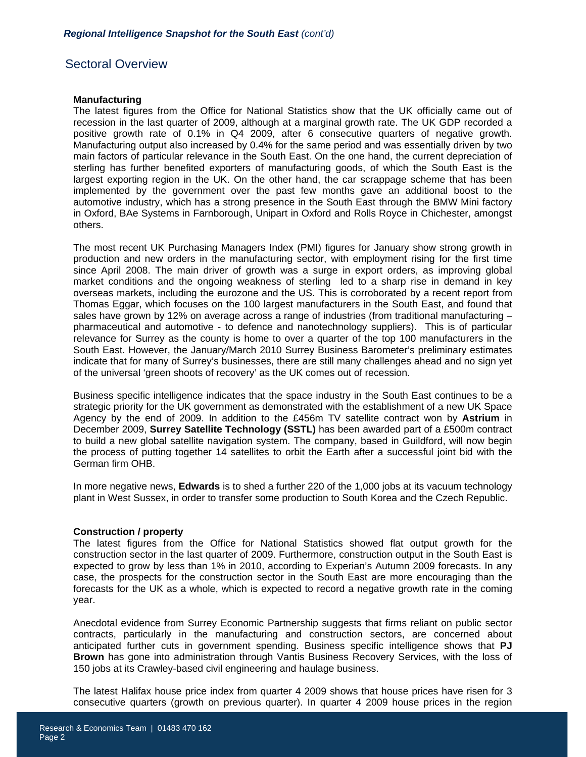# Sectoral Overview

#### **Manufacturing**

The latest figures from the Office for National Statistics show that the UK officially came out of recession in the last quarter of 2009, although at a marginal growth rate. The UK GDP recorded a positive growth rate of 0.1% in Q4 2009, after 6 consecutive quarters of negative growth. Manufacturing output also increased by 0.4% for the same period and was essentially driven by two main factors of particular relevance in the South East. On the one hand, the current depreciation of sterling has further benefited exporters of manufacturing goods, of which the South East is the largest exporting region in the UK. On the other hand, the car scrappage scheme that has been implemented by the government over the past few months gave an additional boost to the automotive industry, which has a strong presence in the South East through the BMW Mini factory in Oxford, BAe Systems in Farnborough, Unipart in Oxford and Rolls Royce in Chichester, amongst others.

The most recent UK Purchasing Managers Index (PMI) figures for January show strong growth in production and new orders in the manufacturing sector, with employment rising for the first time since April 2008. The main driver of growth was a surge in export orders, as improving global market conditions and the ongoing weakness of sterling led to a sharp rise in demand in key overseas markets, including the eurozone and the US. This is corroborated by a recent report from Thomas Eggar, which focuses on the 100 largest manufacturers in the South East, and found that sales have grown by 12% on average across a range of industries (from traditional manufacturing – pharmaceutical and automotive - to defence and nanotechnology suppliers). This is of particular relevance for Surrey as the county is home to over a quarter of the top 100 manufacturers in the South East. However, the January/March 2010 Surrey Business Barometer's preliminary estimates indicate that for many of Surrey's businesses, there are still many challenges ahead and no sign yet of the universal 'green shoots of recovery' as the UK comes out of recession.

Business specific intelligence indicates that the space industry in the South East continues to be a strategic priority for the UK government as demonstrated with the establishment of a new UK Space Agency by the end of 2009. In addition to the £456m TV satellite contract won by **Astrium** in December 2009, **Surrey Satellite Technology (SSTL)** has been awarded part of a £500m contract to build a new global satellite navigation system. The company, based in Guildford, will now begin the process of putting together 14 satellites to orbit the Earth after a successful joint bid with the German firm OHB.

In more negative news, **Edwards** is to shed a further 220 of the 1,000 jobs at its vacuum technology plant in West Sussex, in order to transfer some production to South Korea and the Czech Republic.

# **Construction / property**

The latest figures from the Office for National Statistics showed flat output growth for the construction sector in the last quarter of 2009. Furthermore, construction output in the South East is expected to grow by less than 1% in 2010, according to Experian's Autumn 2009 forecasts. In any case, the prospects for the construction sector in the South East are more encouraging than the forecasts for the UK as a whole, which is expected to record a negative growth rate in the coming year.

Anecdotal evidence from Surrey Economic Partnership suggests that firms reliant on public sector contracts, particularly in the manufacturing and construction sectors, are concerned about anticipated further cuts in government spending. Business specific intelligence shows that **PJ Brown** has gone into administration through Vantis Business Recovery Services, with the loss of 150 jobs at its Crawley-based civil engineering and haulage business.

The latest Halifax house price index from quarter 4 2009 shows that house prices have risen for 3 consecutive quarters (growth on previous quarter). In quarter 4 2009 house prices in the region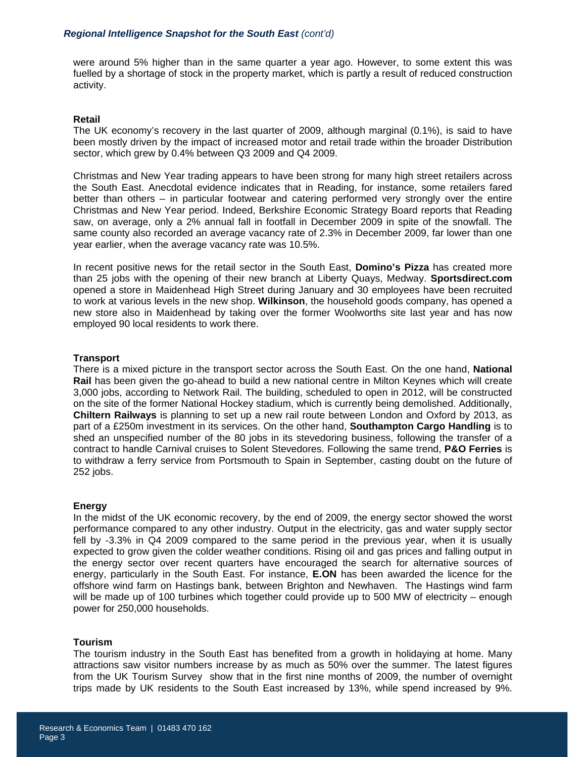were around 5% higher than in the same quarter a year ago. However, to some extent this was fuelled by a shortage of stock in the property market, which is partly a result of reduced construction activity.

# **Retail**

The UK economy's recovery in the last quarter of 2009, although marginal (0.1%), is said to have been mostly driven by the impact of increased motor and retail trade within the broader Distribution sector, which grew by 0.4% between Q3 2009 and Q4 2009.

Christmas and New Year trading appears to have been strong for many high street retailers across the South East. Anecdotal evidence indicates that in Reading, for instance, some retailers fared better than others – in particular footwear and catering performed very strongly over the entire Christmas and New Year period. Indeed, Berkshire Economic Strategy Board reports that Reading saw, on average, only a 2% annual fall in footfall in December 2009 in spite of the snowfall. The same county also recorded an average vacancy rate of 2.3% in December 2009, far lower than one year earlier, when the average vacancy rate was 10.5%.

In recent positive news for the retail sector in the South East, **Domino's Pizza** has created more than 25 jobs with the opening of their new branch at Liberty Quays, Medway. **Sportsdirect.com** opened a store in Maidenhead High Street during January and 30 employees have been recruited to work at various levels in the new shop. **Wilkinson**, the household goods company, has opened a new store also in Maidenhead by taking over the former Woolworths site last year and has now employed 90 local residents to work there.

# **Transport**

There is a mixed picture in the transport sector across the South East. On the one hand, **National Rail** has been given the go-ahead to build a new national centre in Milton Keynes which will create 3,000 jobs, according to Network Rail. The building, scheduled to open in 2012, will be constructed on the site of the former National Hockey stadium, which is currently being demolished. Additionally, **Chiltern Railways** is planning to set up a new rail route between London and Oxford by 2013, as part of a £250m investment in its services. On the other hand, **Southampton Cargo Handling** is to shed an unspecified number of the 80 jobs in its stevedoring business, following the transfer of a contract to handle Carnival cruises to Solent Stevedores. Following the same trend, **P&O Ferries** is to withdraw a ferry service from Portsmouth to Spain in September, casting doubt on the future of 252 jobs.

# **Energy**

In the midst of the UK economic recovery, by the end of 2009, the energy sector showed the worst performance compared to any other industry. Output in the electricity, gas and water supply sector fell by -3.3% in Q4 2009 compared to the same period in the previous year, when it is usually expected to grow given the colder weather conditions. Rising oil and gas prices and falling output in the energy sector over recent quarters have encouraged the search for alternative sources of energy, particularly in the South East. For instance, **E.ON** has been awarded the licence for the offshore wind farm on Hastings bank, between Brighton and Newhaven. The Hastings wind farm will be made up of 100 turbines which together could provide up to 500 MW of electricity – enough power for 250,000 households.

# **Tourism**

The tourism industry in the South East has benefited from a growth in holidaying at home. Many attractions saw visitor numbers increase by as much as 50% over the summer. The latest figures from the UK Tourism Survey show that in the first nine months of 2009, the number of overnight trips made by UK residents to the South East increased by 13%, while spend increased by 9%.